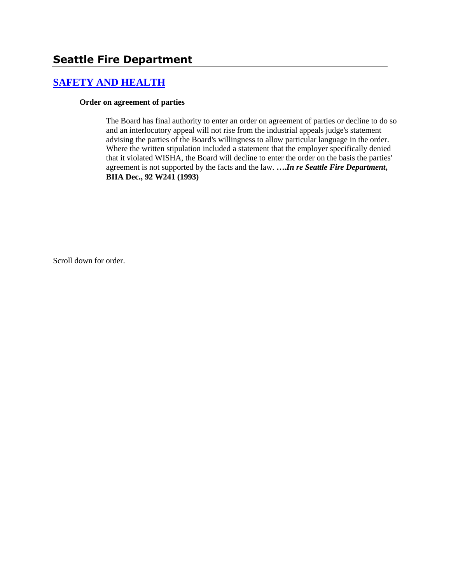# **Seattle Fire Department**

## **[SAFETY AND HEALTH](http://www.biia.wa.gov/SDSubjectIndex.html#SAFETY_AND_HEALTH)**

#### **Order on agreement of parties**

The Board has final authority to enter an order on agreement of parties or decline to do so and an interlocutory appeal will not rise from the industrial appeals judge's statement advising the parties of the Board's willingness to allow particular language in the order. Where the written stipulation included a statement that the employer specifically denied that it violated WISHA, the Board will decline to enter the order on the basis the parties' agreement is not supported by the facts and the law. **….***In re Seattle Fire Department***, BIIA Dec., 92 W241 (1993)**

Scroll down for order.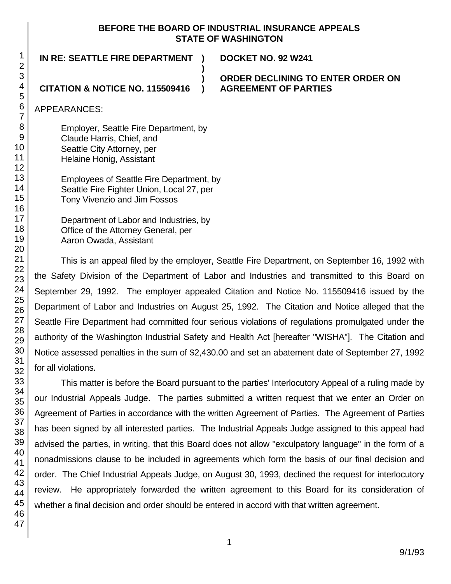#### **BEFORE THE BOARD OF INDUSTRIAL INSURANCE APPEALS STATE OF WASHINGTON**

**)**

**) )**

## **IN RE: SEATTLE FIRE DEPARTMENT ) DOCKET NO. 92 W241**

**ORDER DECLINING TO ENTER ORDER ON AGREEMENT OF PARTIES**

**CITATION & NOTICE NO. 115509416**

APPEARANCES:

Employer, Seattle Fire Department, by Claude Harris, Chief, and Seattle City Attorney, per

Helaine Honig, Assistant

Employees of Seattle Fire Department, by Seattle Fire Fighter Union, Local 27, per Tony Vivenzio and Jim Fossos

Department of Labor and Industries, by Office of the Attorney General, per Aaron Owada, Assistant

This is an appeal filed by the employer, Seattle Fire Department, on September 16, 1992 with the Safety Division of the Department of Labor and Industries and transmitted to this Board on September 29, 1992. The employer appealed Citation and Notice No. 115509416 issued by the Department of Labor and Industries on August 25, 1992. The Citation and Notice alleged that the Seattle Fire Department had committed four serious violations of regulations promulgated under the authority of the Washington Industrial Safety and Health Act [hereafter "WISHA"]. The Citation and Notice assessed penalties in the sum of \$2,430.00 and set an abatement date of September 27, 1992 for all violations.

This matter is before the Board pursuant to the parties' Interlocutory Appeal of a ruling made by our Industrial Appeals Judge. The parties submitted a written request that we enter an Order on Agreement of Parties in accordance with the written Agreement of Parties. The Agreement of Parties has been signed by all interested parties. The Industrial Appeals Judge assigned to this appeal had advised the parties, in writing, that this Board does not allow "exculpatory language" in the form of a nonadmissions clause to be included in agreements which form the basis of our final decision and order. The Chief Industrial Appeals Judge, on August 30, 1993, declined the request for interlocutory review. He appropriately forwarded the written agreement to this Board for its consideration of whether a final decision and order should be entered in accord with that written agreement.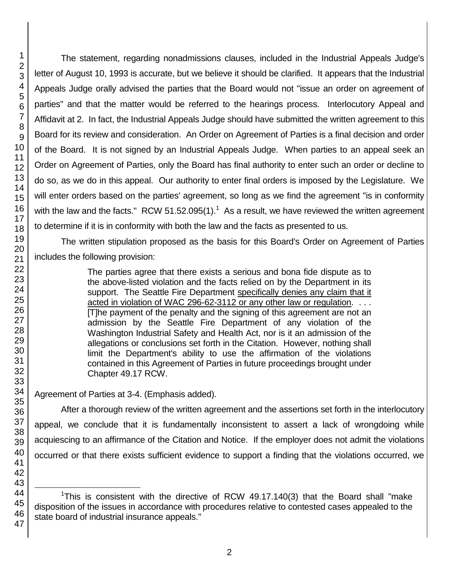l

The statement, regarding nonadmissions clauses, included in the Industrial Appeals Judge's letter of August 10, 1993 is accurate, but we believe it should be clarified. It appears that the Industrial Appeals Judge orally advised the parties that the Board would not "issue an order on agreement of parties" and that the matter would be referred to the hearings process. Interlocutory Appeal and Affidavit at 2. In fact, the Industrial Appeals Judge should have submitted the written agreement to this Board for its review and consideration. An Order on Agreement of Parties is a final decision and order of the Board. It is not signed by an Industrial Appeals Judge. When parties to an appeal seek an Order on Agreement of Parties, only the Board has final authority to enter such an order or decline to do so, as we do in this appeal. Our authority to enter final orders is imposed by the Legislature. We will enter orders based on the parties' agreement, so long as we find the agreement "is in conformity with the law and the facts." RCW 51.52.095(1).<sup>1</sup> As a result, we have reviewed the written agreement to determine if it is in conformity with both the law and the facts as presented to us.

The written stipulation proposed as the basis for this Board's Order on Agreement of Parties includes the following provision:

> The parties agree that there exists a serious and bona fide dispute as to the above-listed violation and the facts relied on by the Department in its support. The Seattle Fire Department specifically denies any claim that it acted in violation of WAC 296-62-3112 or any other law or regulation. . . . [T]he payment of the penalty and the signing of this agreement are not an admission by the Seattle Fire Department of any violation of the Washington Industrial Safety and Health Act, nor is it an admission of the allegations or conclusions set forth in the Citation. However, nothing shall limit the Department's ability to use the affirmation of the violations contained in this Agreement of Parties in future proceedings brought under Chapter 49.17 RCW.

Agreement of Parties at 3-4. (Emphasis added).

After a thorough review of the written agreement and the assertions set forth in the interlocutory appeal, we conclude that it is fundamentally inconsistent to assert a lack of wrongdoing while acquiescing to an affirmance of the Citation and Notice. If the employer does not admit the violations occurred or that there exists sufficient evidence to support a finding that the violations occurred, we

<sup>&</sup>lt;sup>1</sup>This is consistent with the directive of RCW 49.17.140(3) that the Board shall "make disposition of the issues in accordance with procedures relative to contested cases appealed to the state board of industrial insurance appeals."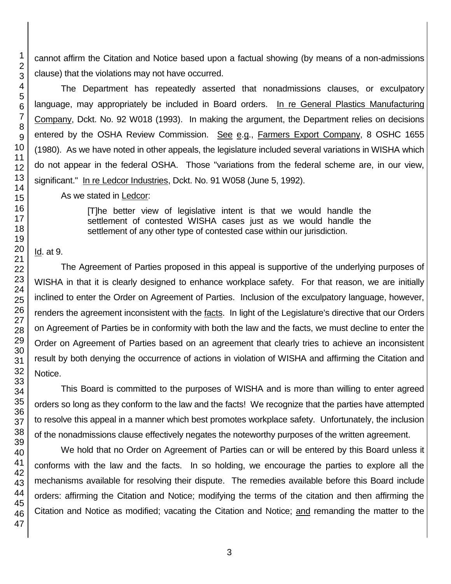cannot affirm the Citation and Notice based upon a factual showing (by means of a non-admissions clause) that the violations may not have occurred.

The Department has repeatedly asserted that nonadmissions clauses, or exculpatory language, may appropriately be included in Board orders. In re General Plastics Manufacturing Company, Dckt. No. 92 W018 (1993). In making the argument, the Department relies on decisions entered by the OSHA Review Commission. See e.g., Farmers Export Company, 8 OSHC 1655 (1980). As we have noted in other appeals, the legislature included several variations in WISHA which do not appear in the federal OSHA. Those "variations from the federal scheme are, in our view, significant." In re Ledcor Industries, Dckt. No. 91 W058 (June 5, 1992).

#### As we stated in Ledcor:

[T]he better view of legislative intent is that we would handle the settlement of contested WISHA cases just as we would handle the settlement of any other type of contested case within our jurisdiction.

### Id. at 9.

The Agreement of Parties proposed in this appeal is supportive of the underlying purposes of WISHA in that it is clearly designed to enhance workplace safety. For that reason, we are initially inclined to enter the Order on Agreement of Parties. Inclusion of the exculpatory language, however, renders the agreement inconsistent with the facts. In light of the Legislature's directive that our Orders on Agreement of Parties be in conformity with both the law and the facts, we must decline to enter the Order on Agreement of Parties based on an agreement that clearly tries to achieve an inconsistent result by both denying the occurrence of actions in violation of WISHA and affirming the Citation and Notice.

This Board is committed to the purposes of WISHA and is more than willing to enter agreed orders so long as they conform to the law and the facts! We recognize that the parties have attempted to resolve this appeal in a manner which best promotes workplace safety. Unfortunately, the inclusion of the nonadmissions clause effectively negates the noteworthy purposes of the written agreement.

We hold that no Order on Agreement of Parties can or will be entered by this Board unless it conforms with the law and the facts. In so holding, we encourage the parties to explore all the mechanisms available for resolving their dispute. The remedies available before this Board include orders: affirming the Citation and Notice; modifying the terms of the citation and then affirming the Citation and Notice as modified; vacating the Citation and Notice; and remanding the matter to the